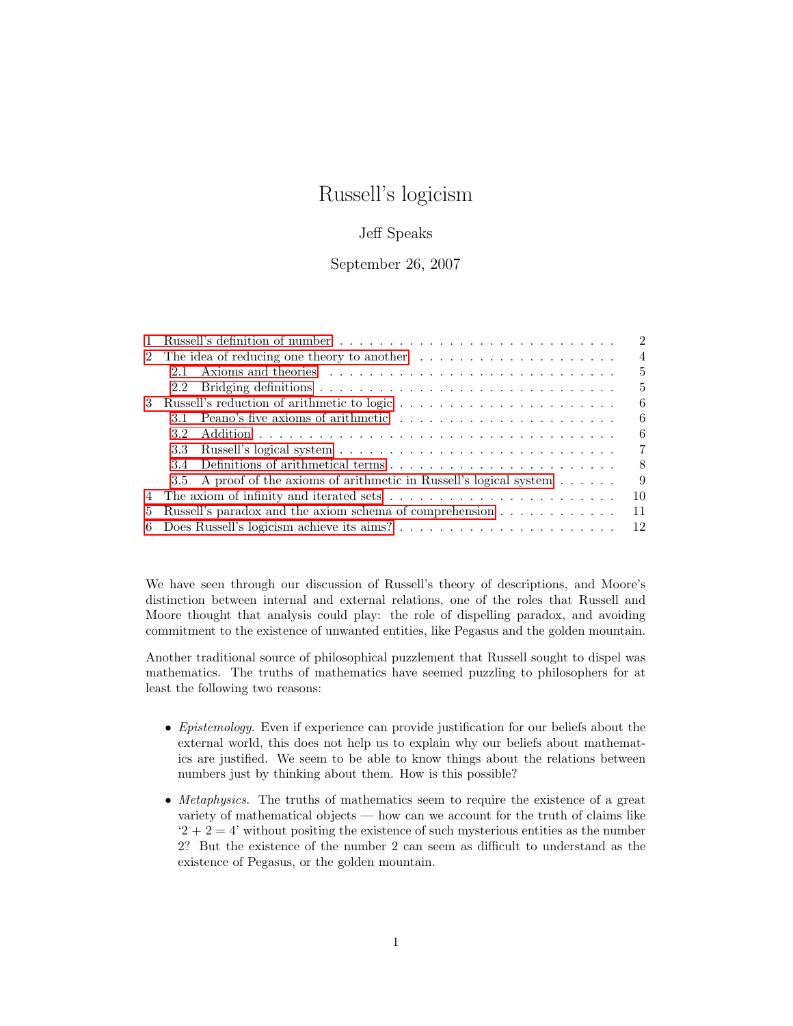# Russell's logicism

# Jeff Speaks

## September 26, 2007

|                | Russell's definition of number $\ldots \ldots \ldots \ldots \ldots \ldots \ldots \ldots \ldots \ldots$                                                                                                                                | $2^{\circ}$    |  |
|----------------|---------------------------------------------------------------------------------------------------------------------------------------------------------------------------------------------------------------------------------------|----------------|--|
|                |                                                                                                                                                                                                                                       |                |  |
|                | Axioms and theories enterprise in the contract of the contract of the contract of the contract of the contract of the contract of the contract of the contract of the contract of the contract of the contract of the contract<br>2.1 | 5              |  |
|                |                                                                                                                                                                                                                                       | 5              |  |
| 3              |                                                                                                                                                                                                                                       | 6              |  |
|                | 31                                                                                                                                                                                                                                    | 6              |  |
|                | 32                                                                                                                                                                                                                                    | 6              |  |
|                | 3.3                                                                                                                                                                                                                                   | $7\phantom{.}$ |  |
|                | 34                                                                                                                                                                                                                                    | 8              |  |
|                | A proof of the axioms of arithmetic in Russell's logical system<br>$3.5^{\circ}$                                                                                                                                                      | 9              |  |
|                |                                                                                                                                                                                                                                       | 10             |  |
| 5 <sup>5</sup> | Russell's paradox and the axiom schema of comprehension<br>11                                                                                                                                                                         |                |  |
|                |                                                                                                                                                                                                                                       |                |  |

We have seen through our discussion of Russell's theory of descriptions, and Moore's distinction between internal and external relations, one of the roles that Russell and Moore thought that analysis could play: the role of dispelling paradox, and avoiding commitment to the existence of unwanted entities, like Pegasus and the golden mountain.

Another traditional source of philosophical puzzlement that Russell sought to dispel was mathematics. The truths of mathematics have seemed puzzling to philosophers for at least the following two reasons:

- Epistemology. Even if experience can provide justification for our beliefs about the external world, this does not help us to explain why our beliefs about mathematics are justified. We seem to be able to know things about the relations between numbers just by thinking about them. How is this possible?
- Metaphysics. The truths of mathematics seem to require the existence of a great variety of mathematical objects — how can we account for the truth of claims like  $2 + 2 = 4$ ' without positing the existence of such mysterious entities as the number 2? But the existence of the number 2 can seem as difficult to understand as the existence of Pegasus, or the golden mountain.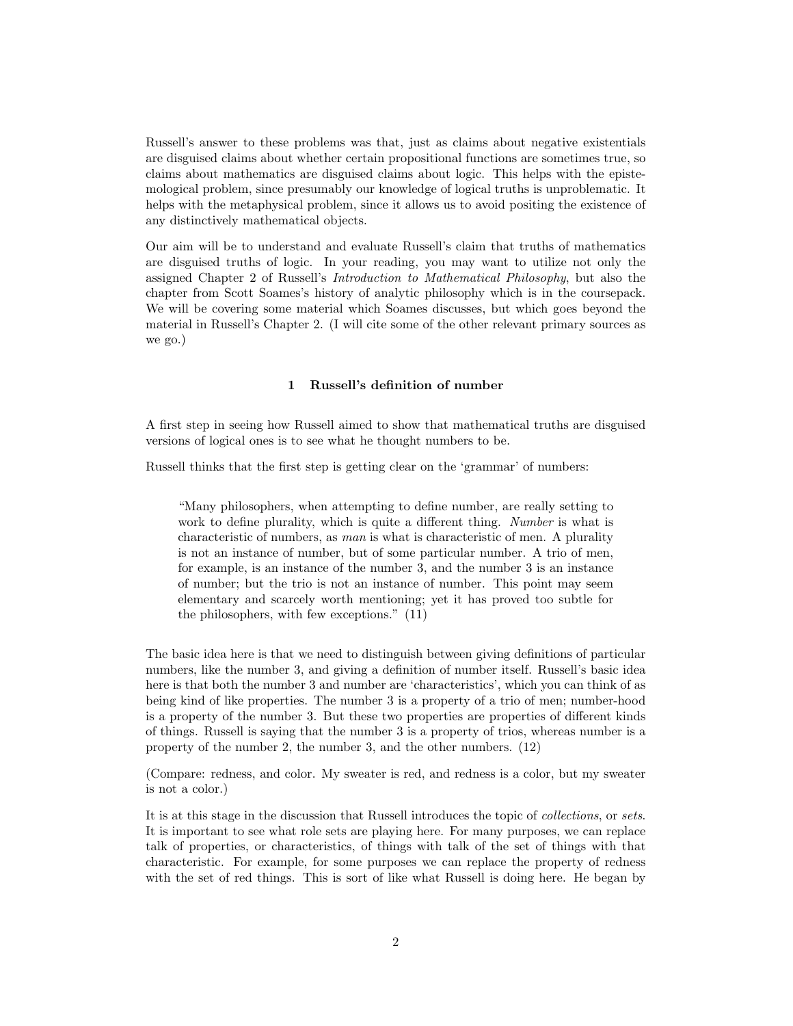Russell's answer to these problems was that, just as claims about negative existentials are disguised claims about whether certain propositional functions are sometimes true, so claims about mathematics are disguised claims about logic. This helps with the epistemological problem, since presumably our knowledge of logical truths is unproblematic. It helps with the metaphysical problem, since it allows us to avoid positing the existence of any distinctively mathematical objects.

Our aim will be to understand and evaluate Russell's claim that truths of mathematics are disguised truths of logic. In your reading, you may want to utilize not only the assigned Chapter 2 of Russell's Introduction to Mathematical Philosophy, but also the chapter from Scott Soames's history of analytic philosophy which is in the coursepack. We will be covering some material which Soames discusses, but which goes beyond the material in Russell's Chapter 2. (I will cite some of the other relevant primary sources as we go.)

## 1 Russell's definition of number

<span id="page-1-0"></span>A first step in seeing how Russell aimed to show that mathematical truths are disguised versions of logical ones is to see what he thought numbers to be.

Russell thinks that the first step is getting clear on the 'grammar' of numbers:

"Many philosophers, when attempting to define number, are really setting to work to define plurality, which is quite a different thing. Number is what is characteristic of numbers, as man is what is characteristic of men. A plurality is not an instance of number, but of some particular number. A trio of men, for example, is an instance of the number 3, and the number 3 is an instance of number; but the trio is not an instance of number. This point may seem elementary and scarcely worth mentioning; yet it has proved too subtle for the philosophers, with few exceptions." (11)

The basic idea here is that we need to distinguish between giving definitions of particular numbers, like the number 3, and giving a definition of number itself. Russell's basic idea here is that both the number 3 and number are 'characteristics', which you can think of as being kind of like properties. The number 3 is a property of a trio of men; number-hood is a property of the number 3. But these two properties are properties of different kinds of things. Russell is saying that the number 3 is a property of trios, whereas number is a property of the number 2, the number 3, and the other numbers. (12)

(Compare: redness, and color. My sweater is red, and redness is a color, but my sweater is not a color.)

It is at this stage in the discussion that Russell introduces the topic of collections, or sets. It is important to see what role sets are playing here. For many purposes, we can replace talk of properties, or characteristics, of things with talk of the set of things with that characteristic. For example, for some purposes we can replace the property of redness with the set of red things. This is sort of like what Russell is doing here. He began by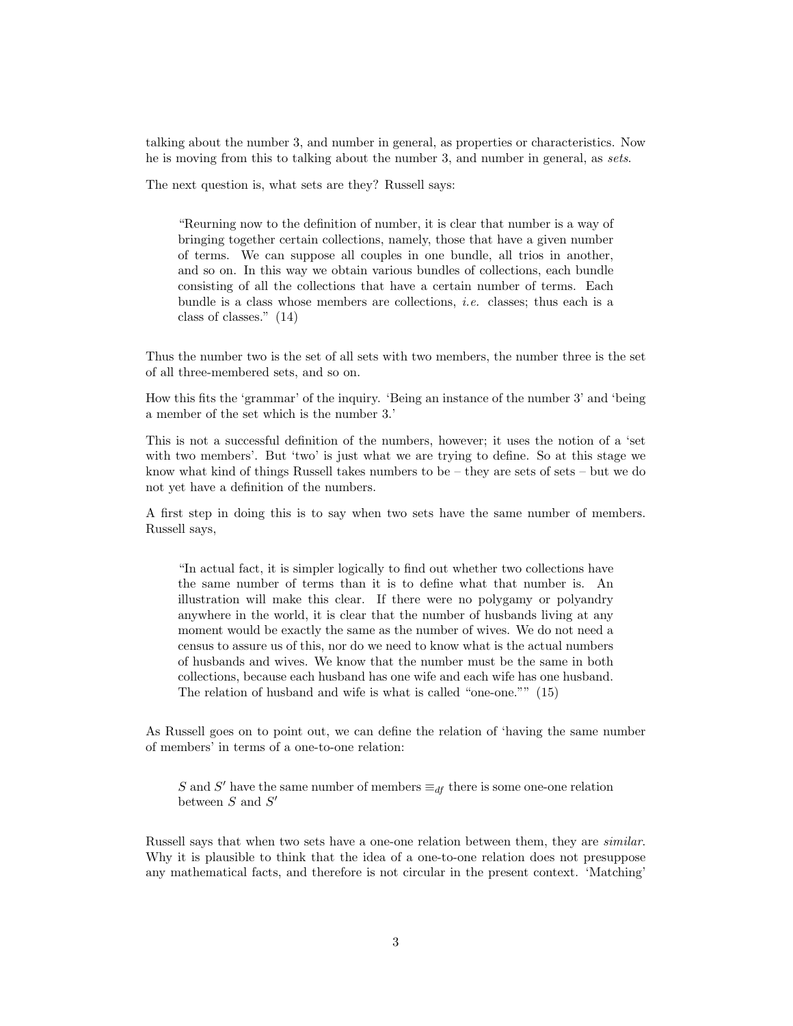talking about the number 3, and number in general, as properties or characteristics. Now he is moving from this to talking about the number 3, and number in general, as sets.

The next question is, what sets are they? Russell says:

"Reurning now to the definition of number, it is clear that number is a way of bringing together certain collections, namely, those that have a given number of terms. We can suppose all couples in one bundle, all trios in another, and so on. In this way we obtain various bundles of collections, each bundle consisting of all the collections that have a certain number of terms. Each bundle is a class whose members are collections, i.e. classes; thus each is a class of classes." (14)

Thus the number two is the set of all sets with two members, the number three is the set of all three-membered sets, and so on.

How this fits the 'grammar' of the inquiry. 'Being an instance of the number 3' and 'being a member of the set which is the number 3.'

This is not a successful definition of the numbers, however; it uses the notion of a 'set with two members'. But 'two' is just what we are trying to define. So at this stage we know what kind of things Russell takes numbers to be – they are sets of sets – but we do not yet have a definition of the numbers.

A first step in doing this is to say when two sets have the same number of members. Russell says,

"In actual fact, it is simpler logically to find out whether two collections have the same number of terms than it is to define what that number is. An illustration will make this clear. If there were no polygamy or polyandry anywhere in the world, it is clear that the number of husbands living at any moment would be exactly the same as the number of wives. We do not need a census to assure us of this, nor do we need to know what is the actual numbers of husbands and wives. We know that the number must be the same in both collections, because each husband has one wife and each wife has one husband. The relation of husband and wife is what is called "one-one."" (15)

As Russell goes on to point out, we can define the relation of 'having the same number of members' in terms of a one-to-one relation:

S and S' have the same number of members  $\equiv_{df}$  there is some one-one relation between  $S$  and  $S'$ 

Russell says that when two sets have a one-one relation between them, they are similar. Why it is plausible to think that the idea of a one-to-one relation does not presuppose any mathematical facts, and therefore is not circular in the present context. 'Matching'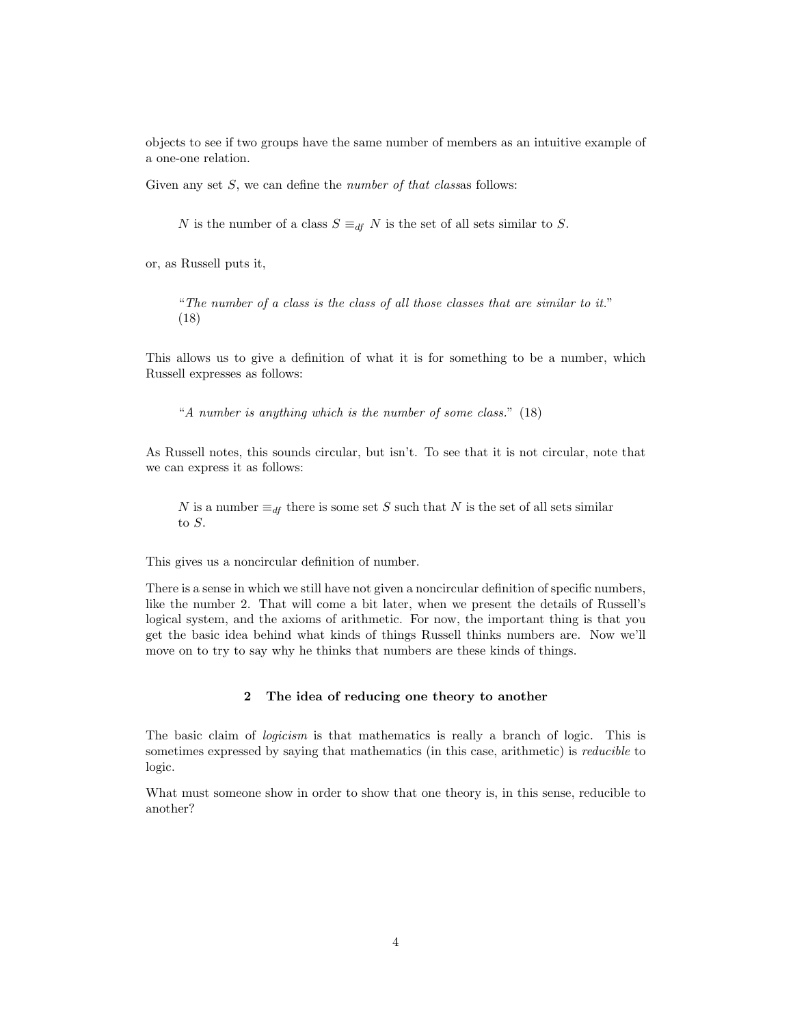objects to see if two groups have the same number of members as an intuitive example of a one-one relation.

Given any set  $S$ , we can define the *number of that classes* follows:

N is the number of a class  $S \equiv_{df} N$  is the set of all sets similar to S.

or, as Russell puts it,

"The number of a class is the class of all those classes that are similar to it." (18)

This allows us to give a definition of what it is for something to be a number, which Russell expresses as follows:

"A number is anything which is the number of some class." (18)

As Russell notes, this sounds circular, but isn't. To see that it is not circular, note that we can express it as follows:

N is a number  $\equiv_{df}$  there is some set S such that N is the set of all sets similar to S.

This gives us a noncircular definition of number.

There is a sense in which we still have not given a noncircular definition of specific numbers, like the number 2. That will come a bit later, when we present the details of Russell's logical system, and the axioms of arithmetic. For now, the important thing is that you get the basic idea behind what kinds of things Russell thinks numbers are. Now we'll move on to try to say why he thinks that numbers are these kinds of things.

## 2 The idea of reducing one theory to another

<span id="page-3-0"></span>The basic claim of logicism is that mathematics is really a branch of logic. This is sometimes expressed by saying that mathematics (in this case, arithmetic) is *reducible* to logic.

What must someone show in order to show that one theory is, in this sense, reducible to another?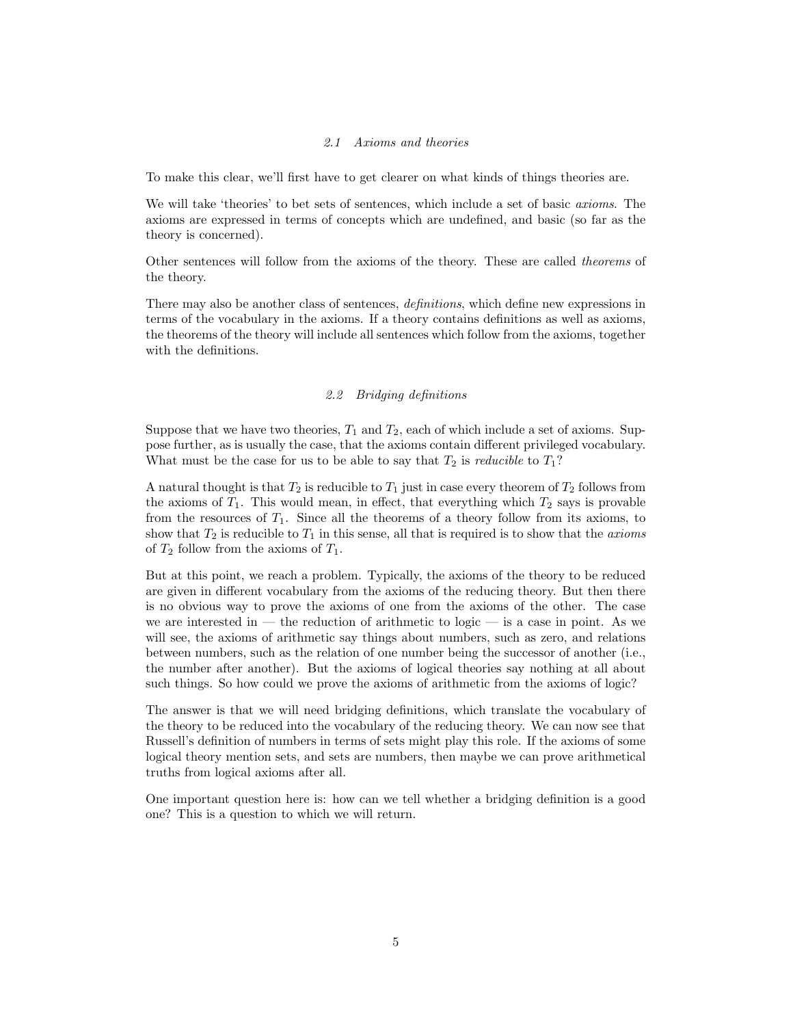## 2.1 Axioms and theories

<span id="page-4-0"></span>To make this clear, we'll first have to get clearer on what kinds of things theories are.

We will take 'theories' to bet sets of sentences, which include a set of basic *axioms*. The axioms are expressed in terms of concepts which are undefined, and basic (so far as the theory is concerned).

Other sentences will follow from the axioms of the theory. These are called theorems of the theory.

There may also be another class of sentences, definitions, which define new expressions in terms of the vocabulary in the axioms. If a theory contains definitions as well as axioms, the theorems of the theory will include all sentences which follow from the axioms, together with the definitions.

## 2.2 Bridging definitions

<span id="page-4-1"></span>Suppose that we have two theories,  $T_1$  and  $T_2$ , each of which include a set of axioms. Suppose further, as is usually the case, that the axioms contain different privileged vocabulary. What must be the case for us to be able to say that  $T_2$  is *reducible* to  $T_1$ ?

A natural thought is that  $T_2$  is reducible to  $T_1$  just in case every theorem of  $T_2$  follows from the axioms of  $T_1$ . This would mean, in effect, that everything which  $T_2$  says is provable from the resources of  $T_1$ . Since all the theorems of a theory follow from its axioms, to show that  $T_2$  is reducible to  $T_1$  in this sense, all that is required is to show that the *axioms* of  $T_2$  follow from the axioms of  $T_1$ .

But at this point, we reach a problem. Typically, the axioms of the theory to be reduced are given in different vocabulary from the axioms of the reducing theory. But then there is no obvious way to prove the axioms of one from the axioms of the other. The case we are interested in — the reduction of arithmetic to logic — is a case in point. As we will see, the axioms of arithmetic say things about numbers, such as zero, and relations between numbers, such as the relation of one number being the successor of another (i.e., the number after another). But the axioms of logical theories say nothing at all about such things. So how could we prove the axioms of arithmetic from the axioms of logic?

The answer is that we will need bridging definitions, which translate the vocabulary of the theory to be reduced into the vocabulary of the reducing theory. We can now see that Russell's definition of numbers in terms of sets might play this role. If the axioms of some logical theory mention sets, and sets are numbers, then maybe we can prove arithmetical truths from logical axioms after all.

One important question here is: how can we tell whether a bridging definition is a good one? This is a question to which we will return.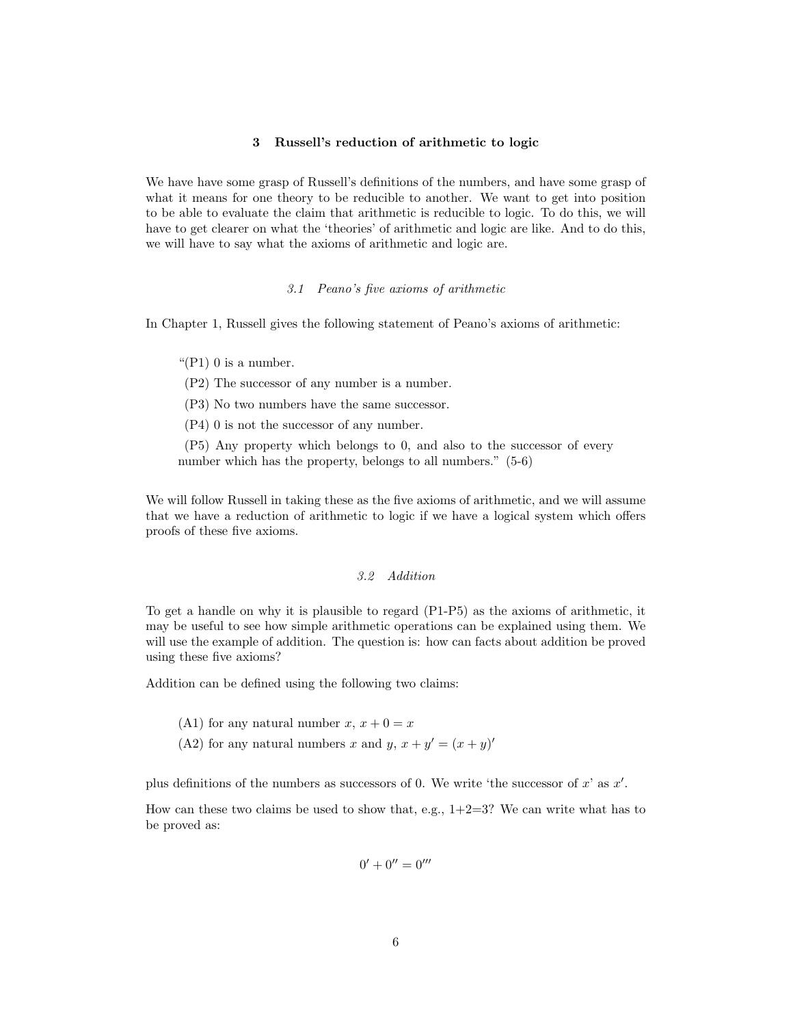## 3 Russell's reduction of arithmetic to logic

<span id="page-5-0"></span>We have have some grasp of Russell's definitions of the numbers, and have some grasp of what it means for one theory to be reducible to another. We want to get into position to be able to evaluate the claim that arithmetic is reducible to logic. To do this, we will have to get clearer on what the 'theories' of arithmetic and logic are like. And to do this, we will have to say what the axioms of arithmetic and logic are.

#### 3.1 Peano's five axioms of arithmetic

<span id="page-5-1"></span>In Chapter 1, Russell gives the following statement of Peano's axioms of arithmetic:

" $(P1)$  0 is a number.

(P2) The successor of any number is a number.

(P3) No two numbers have the same successor.

(P4) 0 is not the successor of any number.

(P5) Any property which belongs to 0, and also to the successor of every number which has the property, belongs to all numbers."  $(5-6)$ 

We will follow Russell in taking these as the five axioms of arithmetic, and we will assume that we have a reduction of arithmetic to logic if we have a logical system which offers proofs of these five axioms.

## 3.2 Addition

<span id="page-5-2"></span>To get a handle on why it is plausible to regard (P1-P5) as the axioms of arithmetic, it may be useful to see how simple arithmetic operations can be explained using them. We will use the example of addition. The question is: how can facts about addition be proved using these five axioms?

Addition can be defined using the following two claims:

(A1) for any natural number  $x, x + 0 = x$ 

(A2) for any natural numbers x and y,  $x + y' = (x + y)'$ 

plus definitions of the numbers as successors of 0. We write 'the successor of  $x'$  as  $x'$ .

How can these two claims be used to show that, e.g.,  $1+2=3$ ? We can write what has to be proved as:

$$
0'+0''=0'''
$$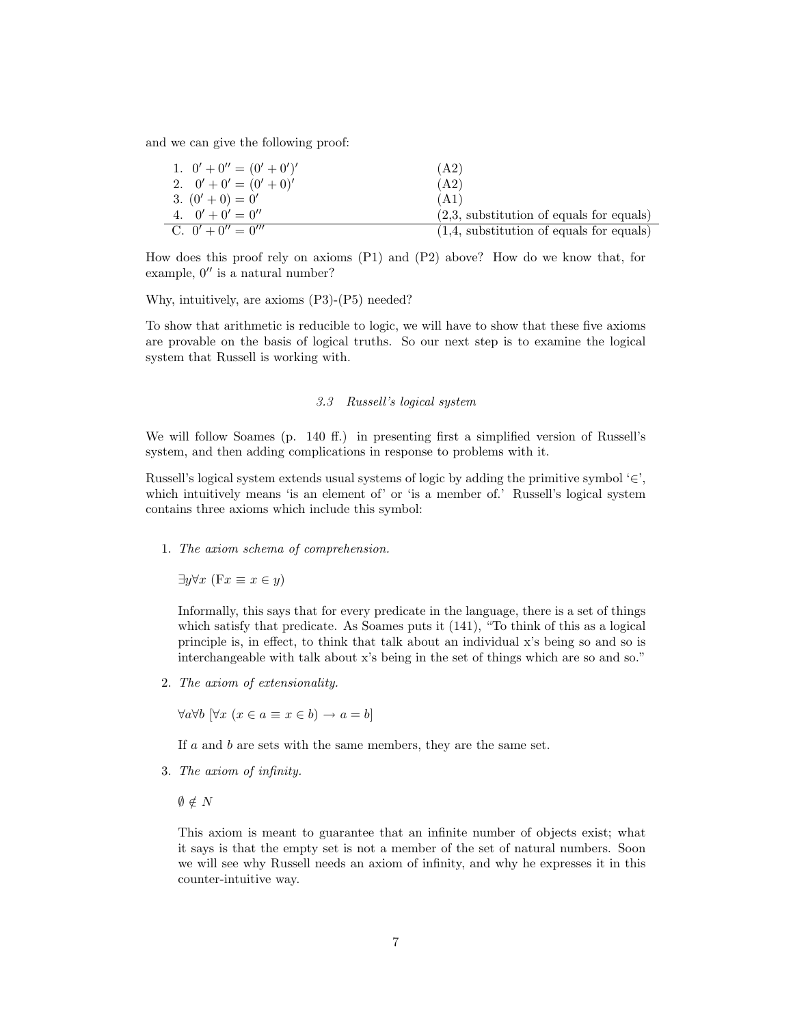and we can give the following proof:

| 1. $0' + 0'' = (0' + 0')'$ | (A2)                                       |
|----------------------------|--------------------------------------------|
| 2. $0' + 0' = (0' + 0)'$   | (A2)                                       |
| 3. $(0'+0) = 0'$           | (A1)                                       |
| 4. $0' + 0' = 0''$         | $(2,3,$ substitution of equals for equals) |
| C. $0' + 0'' = 0'''$       | $(1,4,$ substitution of equals for equals) |

How does this proof rely on axioms (P1) and (P2) above? How do we know that, for example,  $0''$  is a natural number?

Why, intuitively, are axioms (P3)-(P5) needed?

To show that arithmetic is reducible to logic, we will have to show that these five axioms are provable on the basis of logical truths. So our next step is to examine the logical system that Russell is working with.

## 3.3 Russell's logical system

<span id="page-6-0"></span>We will follow Soames (p. 140 ff.) in presenting first a simplified version of Russell's system, and then adding complications in response to problems with it.

Russell's logical system extends usual systems of logic by adding the primitive symbol  $\epsilon$ ', which intuitively means 'is an element of' or 'is a member of.' Russell's logical system contains three axioms which include this symbol:

1. The axiom schema of comprehension.

 $\exists y \forall x$  (F $x \equiv x \in y$ )

Informally, this says that for every predicate in the language, there is a set of things which satisfy that predicate. As Soames puts it (141), "To think of this as a logical principle is, in effect, to think that talk about an individual x's being so and so is interchangeable with talk about x's being in the set of things which are so and so."

2. The axiom of extensionality.

 $\forall a \forall b$   $[\forall x \ (x \in a \equiv x \in b) \rightarrow a = b]$ 

If a and b are sets with the same members, they are the same set.

- 3. The axiom of infinity.
	- $\emptyset \notin N$

This axiom is meant to guarantee that an infinite number of objects exist; what it says is that the empty set is not a member of the set of natural numbers. Soon we will see why Russell needs an axiom of infinity, and why he expresses it in this counter-intuitive way.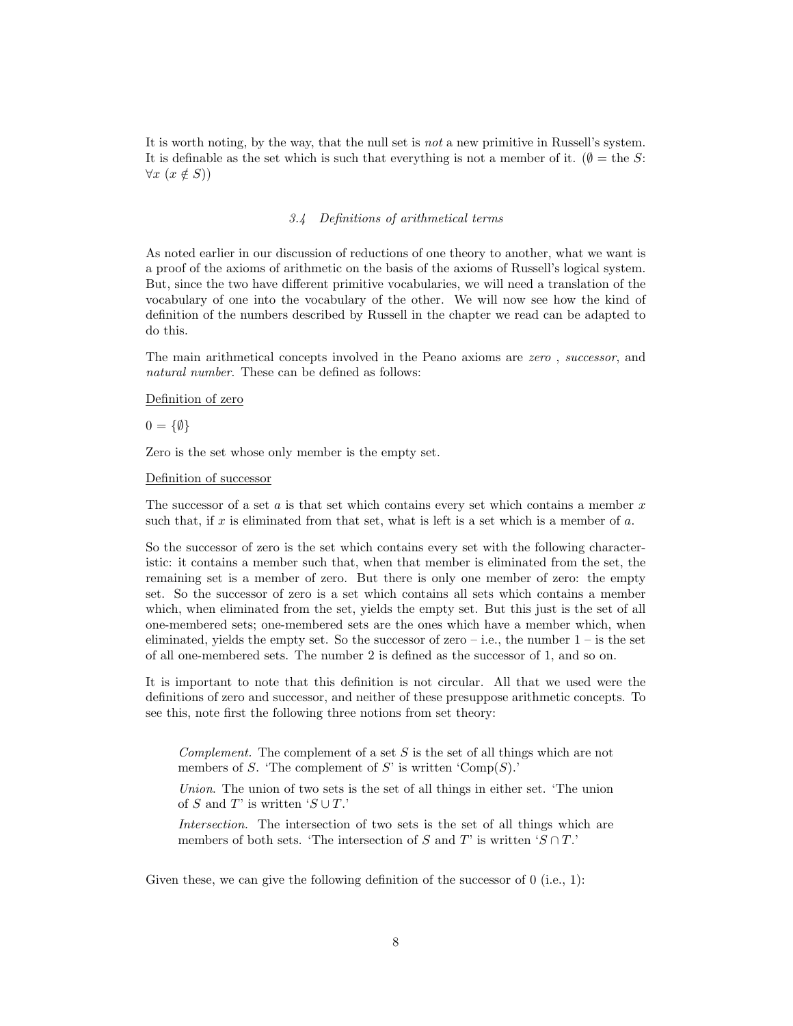It is worth noting, by the way, that the null set is not a new primitive in Russell's system. It is definable as the set which is such that everything is not a member of it. ( $\emptyset =$  the S:  $\forall x \ (x \notin S)$ 

#### 3.4 Definitions of arithmetical terms

<span id="page-7-0"></span>As noted earlier in our discussion of reductions of one theory to another, what we want is a proof of the axioms of arithmetic on the basis of the axioms of Russell's logical system. But, since the two have different primitive vocabularies, we will need a translation of the vocabulary of one into the vocabulary of the other. We will now see how the kind of definition of the numbers described by Russell in the chapter we read can be adapted to do this.

The main arithmetical concepts involved in the Peano axioms are zero , successor, and natural number. These can be defined as follows:

## Definition of zero

 $0 = \{\emptyset\}$ 

Zero is the set whose only member is the empty set.

#### Definition of successor

The successor of a set  $a$  is that set which contains every set which contains a member  $x$ such that, if  $x$  is eliminated from that set, what is left is a set which is a member of  $a$ .

So the successor of zero is the set which contains every set with the following characteristic: it contains a member such that, when that member is eliminated from the set, the remaining set is a member of zero. But there is only one member of zero: the empty set. So the successor of zero is a set which contains all sets which contains a member which, when eliminated from the set, yields the empty set. But this just is the set of all one-membered sets; one-membered sets are the ones which have a member which, when eliminated, yields the empty set. So the successor of zero – i.e., the number  $1$  – is the set of all one-membered sets. The number 2 is defined as the successor of 1, and so on.

It is important to note that this definition is not circular. All that we used were the definitions of zero and successor, and neither of these presuppose arithmetic concepts. To see this, note first the following three notions from set theory:

Complement. The complement of a set  $S$  is the set of all things which are not members of S. 'The complement of S' is written ' $Comp(S)$ .'

Union. The union of two sets is the set of all things in either set. 'The union of S and T' is written  $'S \cup T$ .

Intersection. The intersection of two sets is the set of all things which are members of both sets. 'The intersection of S and T' is written ' $S \cap T$ .'

Given these, we can give the following definition of the successor of  $0$  (i.e., 1):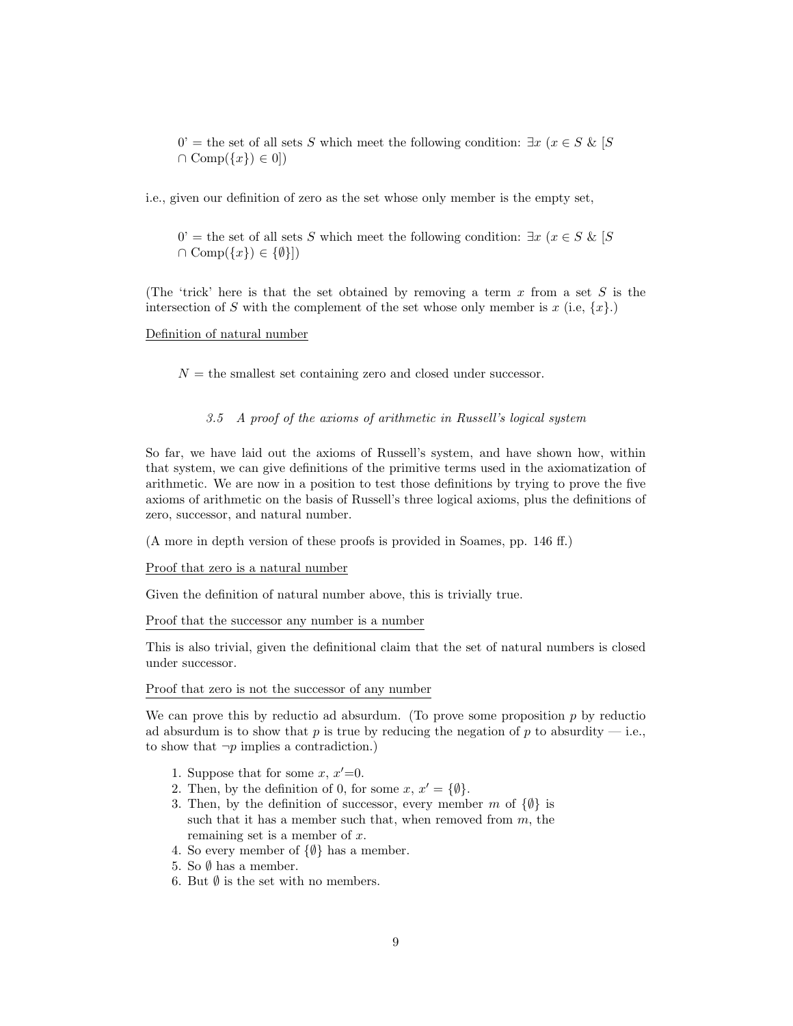$0'$  = the set of all sets S which meet the following condition:  $\exists x \ (x \in S \& S)$  $\cap \text{Comp}(\{x\}) \in 0$ 

i.e., given our definition of zero as the set whose only member is the empty set,

 $0'$  = the set of all sets S which meet the following condition:  $\exists x \ (x \in S \& S)$  $\cap \text{Comp}(\{x\}) \in \{\emptyset\}\}\$ 

(The 'trick' here is that the set obtained by removing a term  $x$  from a set  $S$  is the intersection of S with the complement of the set whose only member is x (i.e,  $\{x\}$ .)

## Definition of natural number

<span id="page-8-0"></span> $N =$  the smallest set containing zero and closed under successor.

## 3.5 A proof of the axioms of arithmetic in Russell's logical system

So far, we have laid out the axioms of Russell's system, and have shown how, within that system, we can give definitions of the primitive terms used in the axiomatization of arithmetic. We are now in a position to test those definitions by trying to prove the five axioms of arithmetic on the basis of Russell's three logical axioms, plus the definitions of zero, successor, and natural number.

(A more in depth version of these proofs is provided in Soames, pp. 146 ff.)

#### Proof that zero is a natural number

Given the definition of natural number above, this is trivially true.

Proof that the successor any number is a number

This is also trivial, given the definitional claim that the set of natural numbers is closed under successor.

#### Proof that zero is not the successor of any number

We can prove this by reductio ad absurdum. (To prove some proposition  $p$  by reduction ad absurdum is to show that p is true by reducing the negation of p to absurdity  $-$  i.e., to show that  $\neg p$  implies a contradiction.)

- 1. Suppose that for some  $x, x'=0$ .
- 2. Then, by the definition of 0, for some  $x, x' = \{\emptyset\}.$
- 3. Then, by the definition of successor, every member m of  $\{\emptyset\}$  is such that it has a member such that, when removed from  $m$ , the remaining set is a member of x.
- 4. So every member of  $\{\emptyset\}$  has a member.
- 5. So  $\emptyset$  has a member.
- 6. But  $\emptyset$  is the set with no members.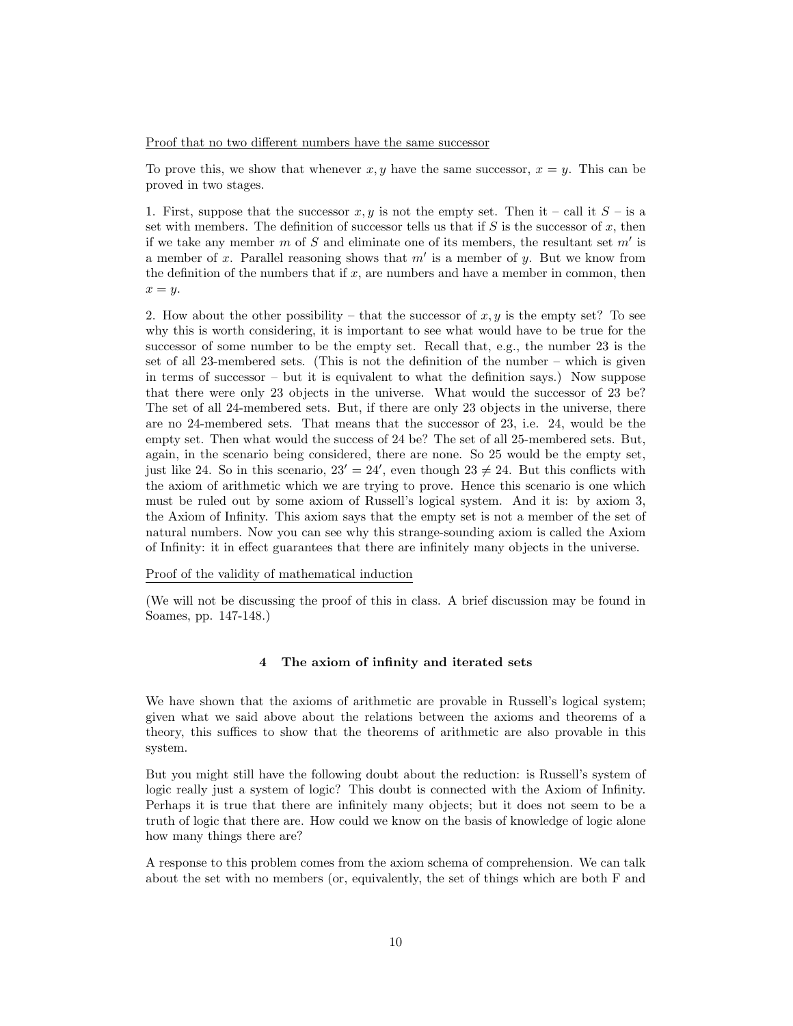Proof that no two different numbers have the same successor

To prove this, we show that whenever  $x, y$  have the same successor,  $x = y$ . This can be proved in two stages.

1. First, suppose that the successor x, y is not the empty set. Then it – call it  $S$  – is a set with members. The definition of successor tells us that if  $S$  is the successor of  $x$ , then if we take any member m of S and eliminate one of its members, the resultant set  $m'$  is a member of x. Parallel reasoning shows that  $m'$  is a member of y. But we know from the definition of the numbers that if  $x$ , are numbers and have a member in common, then  $x = y$ .

2. How about the other possibility – that the successor of  $x, y$  is the empty set? To see why this is worth considering, it is important to see what would have to be true for the successor of some number to be the empty set. Recall that, e.g., the number 23 is the set of all 23-membered sets. (This is not the definition of the number – which is given in terms of successor – but it is equivalent to what the definition says.) Now suppose that there were only 23 objects in the universe. What would the successor of 23 be? The set of all 24-membered sets. But, if there are only 23 objects in the universe, there are no 24-membered sets. That means that the successor of 23, i.e. 24, would be the empty set. Then what would the success of 24 be? The set of all 25-membered sets. But, again, in the scenario being considered, there are none. So 25 would be the empty set, just like 24. So in this scenario,  $23' = 24'$ , even though  $23 \neq 24$ . But this conflicts with the axiom of arithmetic which we are trying to prove. Hence this scenario is one which must be ruled out by some axiom of Russell's logical system. And it is: by axiom 3, the Axiom of Infinity. This axiom says that the empty set is not a member of the set of natural numbers. Now you can see why this strange-sounding axiom is called the Axiom of Infinity: it in effect guarantees that there are infinitely many objects in the universe.

Proof of the validity of mathematical induction

<span id="page-9-0"></span>(We will not be discussing the proof of this in class. A brief discussion may be found in Soames, pp. 147-148.)

## 4 The axiom of infinity and iterated sets

We have shown that the axioms of arithmetic are provable in Russell's logical system; given what we said above about the relations between the axioms and theorems of a theory, this suffices to show that the theorems of arithmetic are also provable in this system.

But you might still have the following doubt about the reduction: is Russell's system of logic really just a system of logic? This doubt is connected with the Axiom of Infinity. Perhaps it is true that there are infinitely many objects; but it does not seem to be a truth of logic that there are. How could we know on the basis of knowledge of logic alone how many things there are?

A response to this problem comes from the axiom schema of comprehension. We can talk about the set with no members (or, equivalently, the set of things which are both F and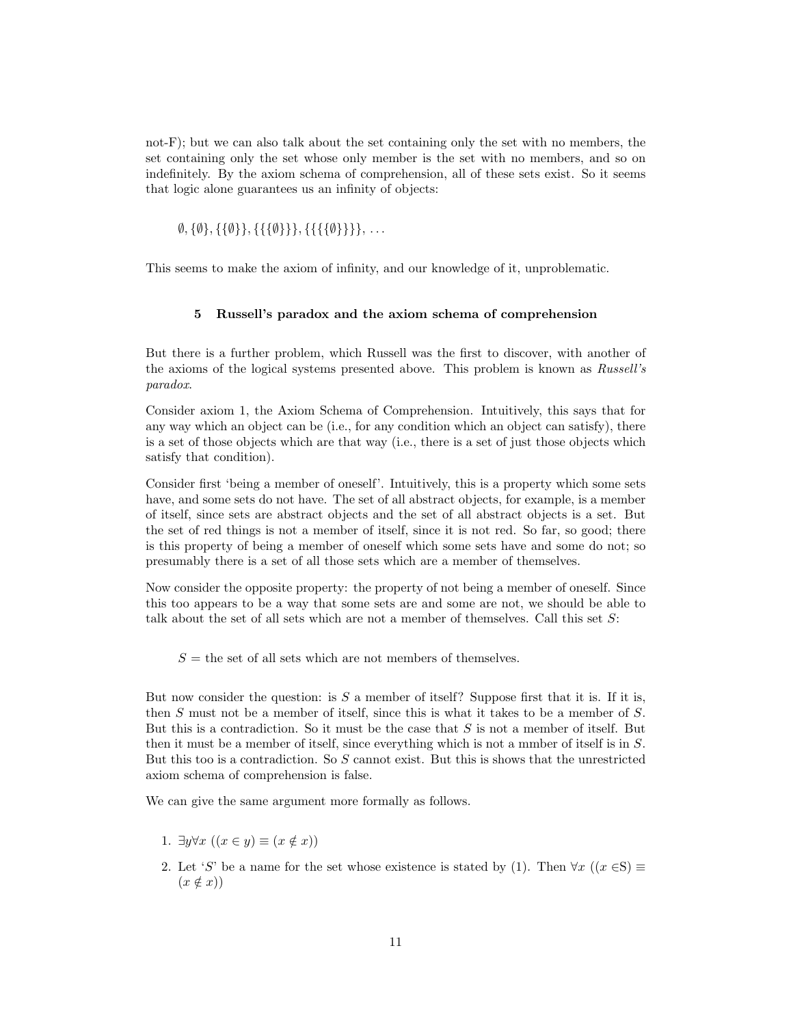not-F); but we can also talk about the set containing only the set with no members, the set containing only the set whose only member is the set with no members, and so on indefinitely. By the axiom schema of comprehension, all of these sets exist. So it seems that logic alone guarantees us an infinity of objects:

 $\emptyset$ ,  $\{\emptyset\}, \{\{\emptyset\}\}, \{\{\{\{\emptyset\}\}\}\}, \ldots$ 

<span id="page-10-0"></span>This seems to make the axiom of infinity, and our knowledge of it, unproblematic.

## 5 Russell's paradox and the axiom schema of comprehension

But there is a further problem, which Russell was the first to discover, with another of the axioms of the logical systems presented above. This problem is known as Russell's paradox.

Consider axiom 1, the Axiom Schema of Comprehension. Intuitively, this says that for any way which an object can be (i.e., for any condition which an object can satisfy), there is a set of those objects which are that way (i.e., there is a set of just those objects which satisfy that condition).

Consider first 'being a member of oneself'. Intuitively, this is a property which some sets have, and some sets do not have. The set of all abstract objects, for example, is a member of itself, since sets are abstract objects and the set of all abstract objects is a set. But the set of red things is not a member of itself, since it is not red. So far, so good; there is this property of being a member of oneself which some sets have and some do not; so presumably there is a set of all those sets which are a member of themselves.

Now consider the opposite property: the property of not being a member of oneself. Since this too appears to be a way that some sets are and some are not, we should be able to talk about the set of all sets which are not a member of themselves. Call this set S:

 $S =$  the set of all sets which are not members of themselves.

But now consider the question: is  $S$  a member of itself? Suppose first that it is. If it is, then S must not be a member of itself, since this is what it takes to be a member of S. But this is a contradiction. So it must be the case that S is not a member of itself. But then it must be a member of itself, since everything which is not a mmber of itself is in S. But this too is a contradiction. So S cannot exist. But this is shows that the unrestricted axiom schema of comprehension is false.

We can give the same argument more formally as follows.

- 1.  $\exists y \forall x \ ((x \in y) \equiv (x \notin x))$
- 2. Let 'S' be a name for the set whose existence is stated by (1). Then  $\forall x$  ((x  $\in$ S)  $\equiv$  $(x \notin x)$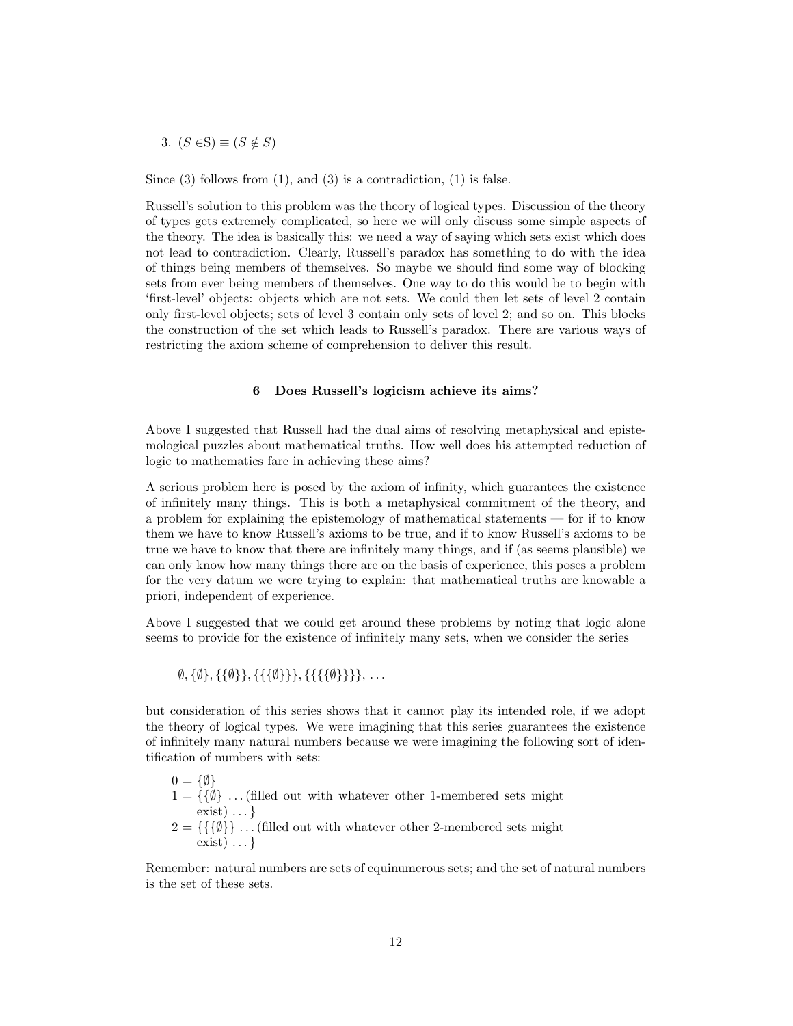3.  $(S \in S) \equiv (S \notin S)$ 

Since  $(3)$  follows from  $(1)$ , and  $(3)$  is a contradiction,  $(1)$  is false.

Russell's solution to this problem was the theory of logical types. Discussion of the theory of types gets extremely complicated, so here we will only discuss some simple aspects of the theory. The idea is basically this: we need a way of saying which sets exist which does not lead to contradiction. Clearly, Russell's paradox has something to do with the idea of things being members of themselves. So maybe we should find some way of blocking sets from ever being members of themselves. One way to do this would be to begin with 'first-level' objects: objects which are not sets. We could then let sets of level 2 contain only first-level objects; sets of level 3 contain only sets of level 2; and so on. This blocks the construction of the set which leads to Russell's paradox. There are various ways of restricting the axiom scheme of comprehension to deliver this result.

## 6 Does Russell's logicism achieve its aims?

<span id="page-11-0"></span>Above I suggested that Russell had the dual aims of resolving metaphysical and epistemological puzzles about mathematical truths. How well does his attempted reduction of logic to mathematics fare in achieving these aims?

A serious problem here is posed by the axiom of infinity, which guarantees the existence of infinitely many things. This is both a metaphysical commitment of the theory, and a problem for explaining the epistemology of mathematical statements — for if to know them we have to know Russell's axioms to be true, and if to know Russell's axioms to be true we have to know that there are infinitely many things, and if (as seems plausible) we can only know how many things there are on the basis of experience, this poses a problem for the very datum we were trying to explain: that mathematical truths are knowable a priori, independent of experience.

Above I suggested that we could get around these problems by noting that logic alone seems to provide for the existence of infinitely many sets, when we consider the series

 $\emptyset$ , { $\emptyset$ }, {{ $\{\emptyset\}$ }, {{{ $\{\{\emptyset\}\}\}$ , {{{{ $\emptyset$ }}}, ...

but consideration of this series shows that it cannot play its intended role, if we adopt the theory of logical types. We were imagining that this series guarantees the existence of infinitely many natural numbers because we were imagining the following sort of identification of numbers with sets:

 $0 = \{\emptyset\}$  $1 = \{\{\emptyset\} \dots \text{ (filled out with whatever other 1-membered sets might } \}$ exist)  $\ldots$  }  $2 = \{\{\{\emptyset\}\}\dots\}$  (filled out with whatever other 2-membered sets might  $exist) \dots$ }

Remember: natural numbers are sets of equinumerous sets; and the set of natural numbers is the set of these sets.